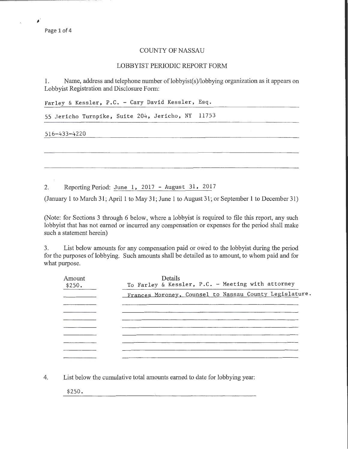Page 1 of 4

 $\blacktriangle$ 

## COUNTY OF NASSAU

## LOBBYIST PERIODIC REPORT FORM

1. Name, address and telephone number of lobbyist(s)/lobbying organization as it appears on Lobbyist Registration and Disclosure Form:

Farley & Kessler, P.C. - Cary David Kessler, Esq.

55 Jericho Turnpike, Suite 204, Jericho, NY 11753

516-433-4220

2. Reporting Period: June 1, 2017 - August 31, 2017

(January 1 to March 31; April1 to May 31; June 1 to August 31; or September 1 to December 31)

(Note: for Sections 3 through 6 below, where a lobbyist is required to file this report, any such lobbyist that has not earned or incurred any compensation or expenses for the period shall make such a statement herein)

3. List below amounts for any compensation paid or owed to the lobbyist during the period for the purposes of lobbying. Such amounts shall be detailed as to amount, to whom paid and for what purpose.

| Amount<br>\$250. | Details<br>To Farley & Kessler, P.C. - Meeting with attorney |  |  |  |
|------------------|--------------------------------------------------------------|--|--|--|
|                  | Frances Moroney, Counsel to Nassau County Legislature.       |  |  |  |
|                  |                                                              |  |  |  |
|                  |                                                              |  |  |  |
|                  |                                                              |  |  |  |
|                  |                                                              |  |  |  |
|                  |                                                              |  |  |  |
|                  |                                                              |  |  |  |

4. List below the cumulative total amounts earned to date for lobbying year:

\$250.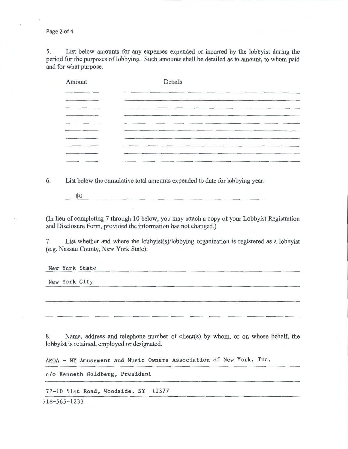Page 2 of 4

5. List below amounts for any expenses expended or incurred by the lobbyist during the period for the purposes of lobbying. Such amounts shall be detailed as to amount, to whom paid and for what purpose.

| Amount    | Details |  |  |
|-----------|---------|--|--|
|           |         |  |  |
|           |         |  |  |
|           |         |  |  |
|           |         |  |  |
|           |         |  |  |
|           |         |  |  |
|           |         |  |  |
| _________ |         |  |  |
|           |         |  |  |

6. List below the cumulative total amounts expended to date for lobbying year:

\$0

(In lieu of completing 7 through 10 below, you may attach a copy of your Lobbyist Registration and Disclosure Form, provided the information has not changed.)

7. List whether and where the lobbyist(s)/lobbying organization is registered as a lobbyist (e.g. Nassau County, New York State):

New York State

New York City

8. Name, address and telephone number of client(s) by whom, or on whose behalf, the lobbyist is retained, employed or designated.

AMOA - NY Amusement and Music Owners Association of New York, Inc.

c/o Kenneth Goldberg, President

72-10 51st Road, Woodside, NY 11377

718-565-1233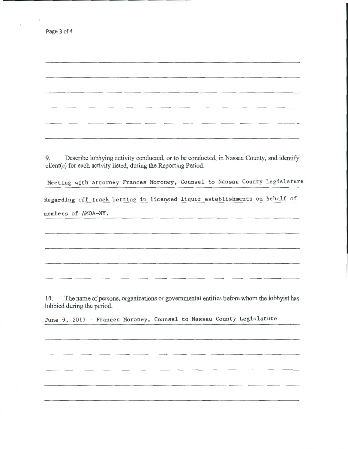| Page 3 of 4 |  |  |  |
|-------------|--|--|--|
|-------------|--|--|--|

9. Describe lobbying activity conducted, or to be conducted, in Nassau County, and identify client(s) for each activity listed, during the Reporting Period.

Meeting with attorney Frances Moroney, Counsel to Nassau County Legislature

Regarding off track betting in licensed liquor establishments on behalf of

members of AMOA-NY.

10. The name of persons, organizations or governmental entities before whom the lobbyist has lobbied during the period.

June 9, 2017 - Frances Moroney, Counsel to Nassau County Legislature